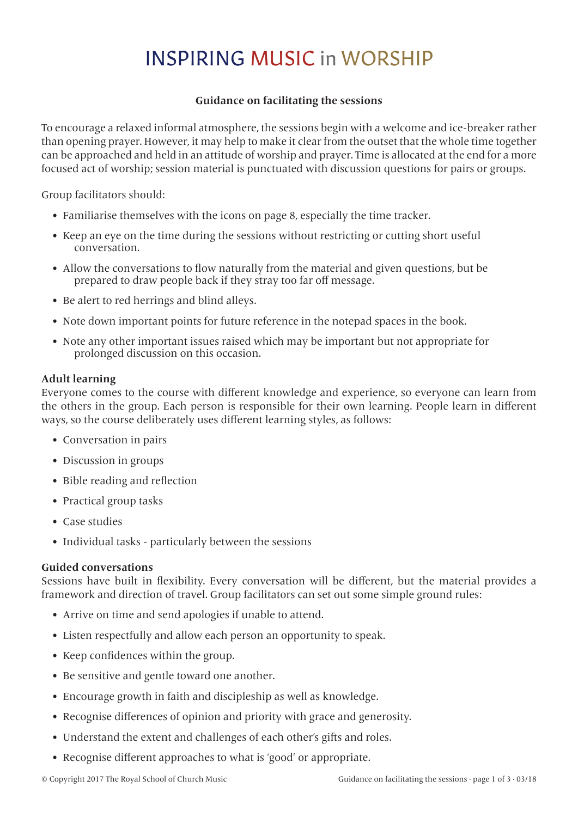# INSPIRING MUSIC in WORSHIP

## **Guidance on facilitating the sessions**

To encourage a relaxed informal atmosphere, the sessions begin with a welcome and ice-breaker rather than opening prayer. However, it may help to make it clear from the outset that the whole time together can be approached and held in an attitude of worship and prayer. Time is allocated at the end for a more focused act of worship; session material is punctuated with discussion questions for pairs or groups.

Group facilitators should:

- Familiarise themselves with the icons on page 8, especially the time tracker.
- Keep an eye on the time during the sessions without restricting or cutting short useful conversation.
- Allow the conversations to flow naturally from the material and given questions, but be prepared to draw people back if they stray too far off message.
- Be alert to red herrings and blind alleys.
- Note down important points for future reference in the notepad spaces in the book.
- Note any other important issues raised which may be important but not appropriate for prolonged discussion on this occasion.

### **Adult learning**

Everyone comes to the course with different knowledge and experience, so everyone can learn from the others in the group. Each person is responsible for their own learning. People learn in different ways, so the course deliberately uses different learning styles, as follows:

- Conversation in pairs
- Discussion in groups
- Bible reading and reflection
- Practical group tasks
- Case studies
- Individual tasks particularly between the sessions

#### **Guided conversations**

Sessions have built in flexibility. Every conversation will be different, but the material provides a framework and direction of travel. Group facilitators can set out some simple ground rules:

- Arrive on time and send apologies if unable to attend.
- Listen respectfully and allow each person an opportunity to speak.
- Keep confidences within the group.
- Be sensitive and gentle toward one another.
- Encourage growth in faith and discipleship as well as knowledge.
- Recognise differences of opinion and priority with grace and generosity.
- Understand the extent and challenges of each other's gifts and roles.
- Recognise different approaches to what is 'good' or appropriate.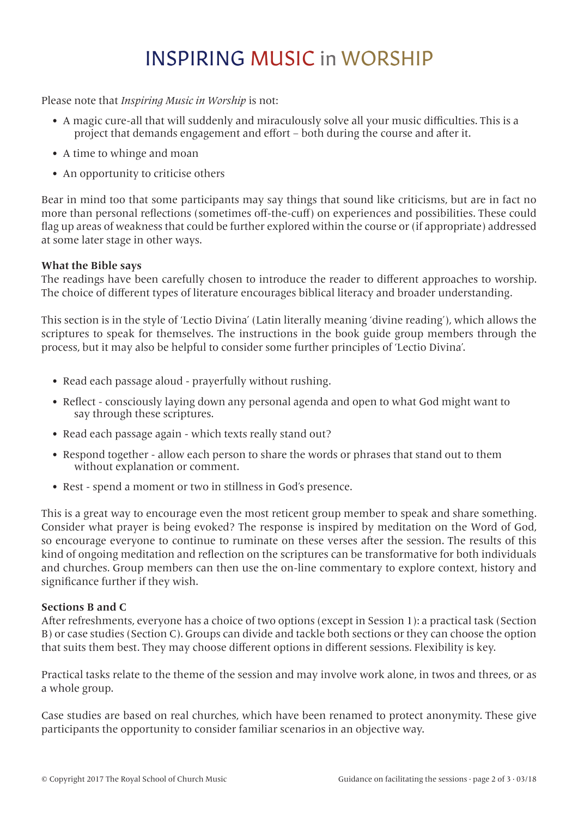# INSPIRING MUSIC in WORSHIP

Please note that *Inspiring Music in Worship* is not:

- A magic cure-all that will suddenly and miraculously solve all your music difficulties. This is a project that demands engagement and effort – both during the course and after it.
- A time to whinge and moan
- An opportunity to criticise others

Bear in mind too that some participants may say things that sound like criticisms, but are in fact no more than personal reflections (sometimes off-the-cuff) on experiences and possibilities. These could flag up areas of weakness that could be further explored within the course or (if appropriate) addressed at some later stage in other ways.

## **What the Bible says**

The readings have been carefully chosen to introduce the reader to different approaches to worship. The choice of different types of literature encourages biblical literacy and broader understanding.

This section is in the style of 'Lectio Divina' (Latin literally meaning 'divine reading'), which allows the scriptures to speak for themselves. The instructions in the book guide group members through the process, but it may also be helpful to consider some further principles of 'Lectio Divina'.

- Read each passage aloud prayerfully without rushing.
- Reflect consciously laying down any personal agenda and open to what God might want to say through these scriptures.
- Read each passage again which texts really stand out?
- Respond together allow each person to share the words or phrases that stand out to them without explanation or comment.
- Rest spend a moment or two in stillness in God's presence.

This is a great way to encourage even the most reticent group member to speak and share something. Consider what prayer is being evoked? The response is inspired by meditation on the Word of God, so encourage everyone to continue to ruminate on these verses after the session. The results of this kind of ongoing meditation and reflection on the scriptures can be transformative for both individuals and churches. Group members can then use the on-line commentary to explore context, history and significance further if they wish.

#### **Sections B and C**

After refreshments, everyone has a choice of two options (except in Session 1): a practical task (Section B) or case studies (Section C). Groups can divide and tackle both sections or they can choose the option that suits them best. They may choose different options in different sessions. Flexibility is key.

Practical tasks relate to the theme of the session and may involve work alone, in twos and threes, or as a whole group.

Case studies are based on real churches, which have been renamed to protect anonymity. These give participants the opportunity to consider familiar scenarios in an objective way.